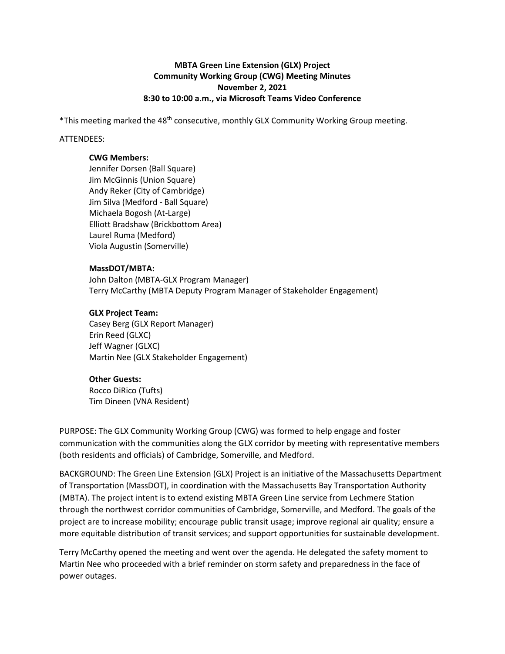# **MBTA Green Line Extension (GLX) Project Community Working Group (CWG) Meeting Minutes November 2, 2021 8:30 to 10:00 a.m., via Microsoft Teams Video Conference**

\*This meeting marked the 48th consecutive, monthly GLX Community Working Group meeting.

### ATTENDEES:

#### **CWG Members:**

Jennifer Dorsen (Ball Square) Jim McGinnis (Union Square) Andy Reker (City of Cambridge) Jim Silva (Medford - Ball Square) Michaela Bogosh (At-Large) Elliott Bradshaw (Brickbottom Area) Laurel Ruma (Medford) Viola Augustin (Somerville)

#### **MassDOT/MBTA:**

John Dalton (MBTA-GLX Program Manager) Terry McCarthy (MBTA Deputy Program Manager of Stakeholder Engagement)

## **GLX Project Team:**

Casey Berg (GLX Report Manager) Erin Reed (GLXC) Jeff Wagner (GLXC) Martin Nee (GLX Stakeholder Engagement)

## **Other Guests:**

Rocco DiRico (Tufts) Tim Dineen (VNA Resident)

PURPOSE: The GLX Community Working Group (CWG) was formed to help engage and foster communication with the communities along the GLX corridor by meeting with representative members (both residents and officials) of Cambridge, Somerville, and Medford.

BACKGROUND: The Green Line Extension (GLX) Project is an initiative of the Massachusetts Department of Transportation (MassDOT), in coordination with the Massachusetts Bay Transportation Authority (MBTA). The project intent is to extend existing MBTA Green Line service from Lechmere Station through the northwest corridor communities of Cambridge, Somerville, and Medford. The goals of the project are to increase mobility; encourage public transit usage; improve regional air quality; ensure a more equitable distribution of transit services; and support opportunities for sustainable development.

Terry McCarthy opened the meeting and went over the agenda. He delegated the safety moment to Martin Nee who proceeded with a brief reminder on storm safety and preparedness in the face of power outages.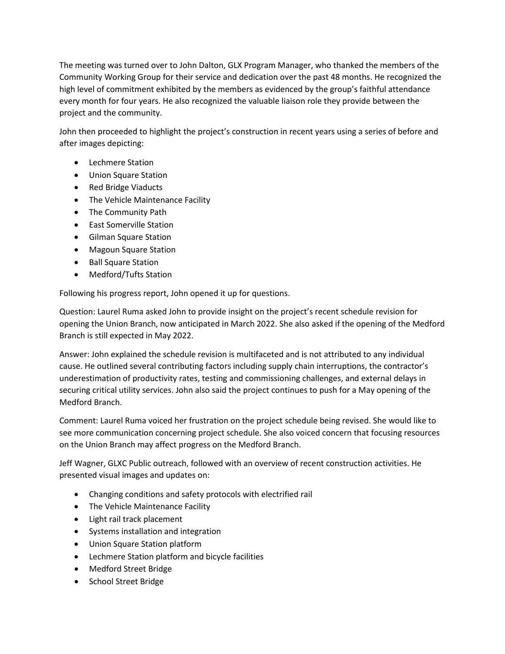The meeting was turned over to John Dalton, GLX Program Manager, who thanked the members of the Community Working Group for their service and dedication over the past 48 months. He recognized the high level of commitment exhibited by the members as evidenced by the group's faithful attendance every month for four years. He also recognized the valuable liaison role they provide between the project and the community.

John then proceeded to highlight the project's construction in recent years using a series of before and after images depicting:

- Lechmere Station
- Union Square Station
- Red Bridge Viaducts
- The Vehicle Maintenance Facility
- The Community Path
- East Somerville Station
- Gilman Square Station
- Magoun Square Station
- Ball Square Station
- Medford/Tufts Station

Following his progress report, John opened it up for questions.

Question: Laurel Ruma asked John to provide insight on the project's recent schedule revision for opening the Union Branch, now anticipated in March 2022. She also asked if the opening of the Medford Branch is still expected in May 2022.

Answer: John explained the schedule revision is multifaceted and is not attributed to any individual cause. He outlined several contributing factors including supply chain interruptions, the contractor's underestimation of productivity rates, testing and commissioning challenges, and external delays in securing critical utility services. John also said the project continues to push for a May opening of the Medford Branch.

Comment: Laurel Ruma voiced her frustration on the project schedule being revised. She would like to see more communication concerning project schedule. She also voiced concern that focusing resources on the Union Branch may affect progress on the Medford Branch.

Jeff Wagner, GLXC Public outreach, followed with an overview of recent construction activities. He presented visual images and updates on:

- Changing conditions and safety protocols with electrified rail
- The Vehicle Maintenance Facility
- Light rail track placement
- Systems installation and integration
- Union Square Station platform
- Lechmere Station platform and bicycle facilities
- Medford Street Bridge
- School Street Bridge